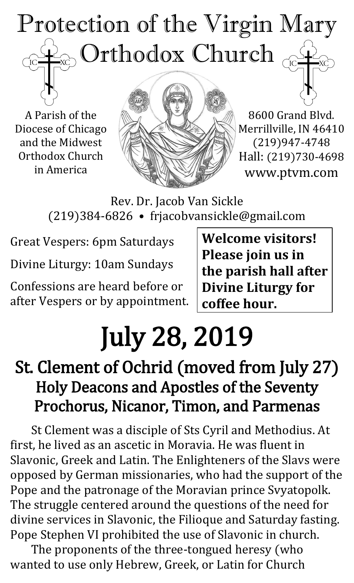# Protection of the Virgin Mary  $_{\odot}$  Orthodox Church  $\overline{C}$

A Parish of the Diocese of Chicago and the Midwest Orthodox Church in America



8600 Grand Blvd. Merrillville, IN 46410 (219)947-4748 Hall: (219)730-4698 www.ptvm.com

Rev. Dr. Jacob Van Sickle (219)384-6826 • frjacobvansickle@gmail.com

Great Vespers: 6pm Saturdays

Divine Liturgy: 10am Sundays

Confessions are heard before or after Vespers or by appointment. **Welcome visitors! Please join us in the parish hall after Divine Liturgy for coffee hour.**

# July 28, 2019

## St. Clement of Ochrid (moved from July 27) Holy Deacons and Apostles of the Seventy Prochorus, Nicanor, Timon, and Parmenas

St Clement was a disciple of Sts Cyril and Methodius. At first, he lived as an ascetic in Moravia. He was fluent in Slavonic, Greek and Latin. The Enlighteners of the Slavs were opposed by German missionaries, who had the support of the Pope and the patronage of the Moravian prince Svyatopolk. The struggle centered around the questions of the need for divine services in Slavonic, the Filioque and Saturday fasting. Pope Stephen VI prohibited the use of Slavonic in church.

The proponents of the three-tongued heresy (who wanted to use only Hebrew, Greek, or Latin for Church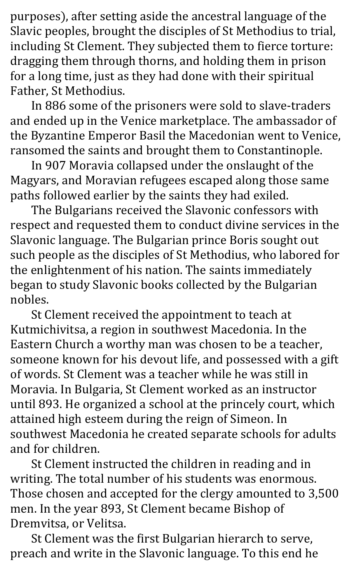purposes), after setting aside the ancestral language of the Slavic peoples, brought the disciples of St Methodius to trial, including St Clement. They subjected them to fierce torture: dragging them through thorns, and holding them in prison for a long time, just as they had done with their spiritual Father, St Methodius.

In 886 some of the prisoners were sold to slave-traders and ended up in the Venice marketplace. The ambassador of the Byzantine Emperor Basil the Macedonian went to Venice, ransomed the saints and brought them to Constantinople.

In 907 Moravia collapsed under the onslaught of the Magyars, and Moravian refugees escaped along those same paths followed earlier by the saints they had exiled.

The Bulgarians received the Slavonic confessors with respect and requested them to conduct divine services in the Slavonic language. The Bulgarian prince Boris sought out such people as the disciples of St Methodius, who labored for the enlightenment of his nation. The saints immediately began to study Slavonic books collected by the Bulgarian nobles.

St Clement received the appointment to teach at Kutmichivitsa, a region in southwest Macedonia. In the Eastern Church a worthy man was chosen to be a teacher, someone known for his devout life, and possessed with a gift of words. St Clement was a teacher while he was still in Moravia. In Bulgaria, St Clement worked as an instructor until 893. He organized a school at the princely court, which attained high esteem during the reign of Simeon. In southwest Macedonia he created separate schools for adults and for children.

St Clement instructed the children in reading and in writing. The total number of his students was enormous. Those chosen and accepted for the clergy amounted to 3,500 men. In the year 893, St Clement became Bishop of Dremvitsa, or Velitsa.

St Clement was the first Bulgarian hierarch to serve, preach and write in the Slavonic language. To this end he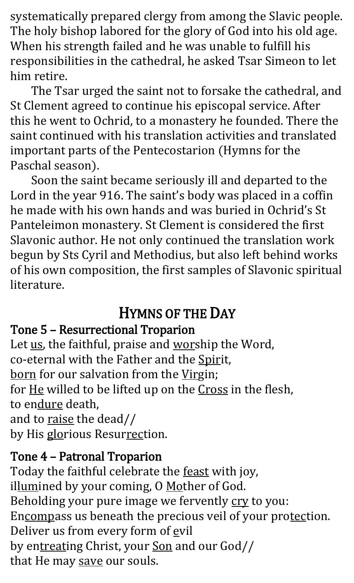systematically prepared clergy from among the Slavic people. The holy bishop labored for the glory of God into his old age. When his strength failed and he was unable to fulfill his responsibilities in the cathedral, he asked Tsar Simeon to let him retire.

The Tsar urged the saint not to forsake the cathedral, and St Clement agreed to continue his episcopal service. After this he went to Ochrid, to a monastery he founded. There the saint continued with his translation activities and translated important parts of the Pentecostarion (Hymns for the Paschal season).

Soon the saint became seriously ill and departed to the Lord in the year 916. The saint's body was placed in a coffin he made with his own hands and was buried in Ochrid's St Panteleimon monastery. St Clement is considered the first Slavonic author. He not only continued the translation work begun by Sts Cyril and Methodius, but also left behind works of his own composition, the first samples of Slavonic spiritual literature.

#### HYMNS OF THE DAY

#### Tone 5 – Resurrectional Troparion

Let us, the faithful, praise and worship the Word, co-eternal with the Father and the Spirit, born for our salvation from the Virgin; for He willed to be lifted up on the Cross in the flesh, to endure death, and to raise the dead// by His glorious Resurrection.

#### Tone 4 – Patronal Troparion

Today the faithful celebrate the feast with joy, illumined by your coming, O Mother of God. Beholding your pure image we fervently cry to you: Encompass us beneath the precious veil of your protection. Deliver us from every form of evil by entreating Christ, your Son and our God// that He may save our souls.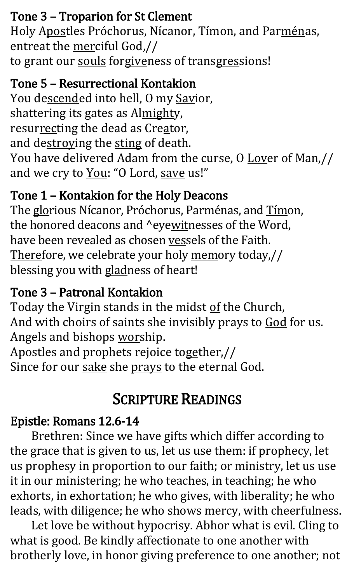#### Tone 3 – Troparion for St Clement

Holy Apostles Próchorus, Nícanor, Tímon, and Parménas, entreat the merciful God,// to grant our souls forgiveness of transgressions!

#### Tone 5 – Resurrectional Kontakion

You descended into hell, O my Savior, shattering its gates as Almighty, resurrecting the dead as Creator, and destroying the sting of death. You have delivered Adam from the curse, O Lover of Man,// and we cry to You: "O Lord, save us!"

#### Tone 1 – Kontakion for the Holy Deacons

The glorious Nícanor, Próchorus, Parménas, and Tímon, the honored deacons and ^eyewitnesses of the Word, have been revealed as chosen vessels of the Faith. Therefore, we celebrate your holy memory today,// blessing you with gladness of heart!

#### Tone 3 – Patronal Kontakion

Today the Virgin stands in the midst of the Church, And with choirs of saints she invisibly prays to God for us. Angels and bishops worship.

Apostles and prophets rejoice together,// Since for our sake she prays to the eternal God.

### SCRIPTURE READINGS

#### Epistle: Romans 12.6-14

Brethren: Since we have gifts which differ according to the grace that is given to us, let us use them: if prophecy, let us prophesy in proportion to our faith; or ministry, let us use it in our ministering; he who teaches, in teaching; he who exhorts, in exhortation; he who gives, with liberality; he who leads, with diligence; he who shows mercy, with cheerfulness.

Let love be without hypocrisy. Abhor what is evil. Cling to what is good. Be kindly affectionate to one another with brotherly love, in honor giving preference to one another; not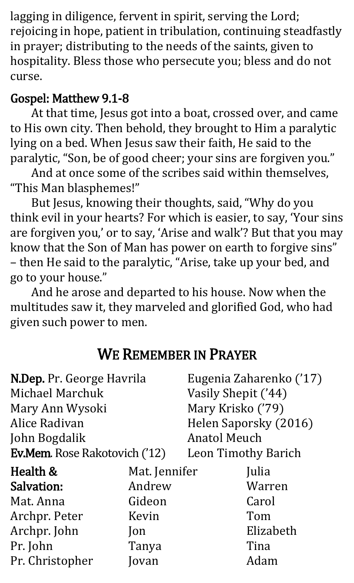lagging in diligence, fervent in spirit, serving the Lord; rejoicing in hope, patient in tribulation, continuing steadfastly in prayer; distributing to the needs of the saints, given to hospitality. Bless those who persecute you; bless and do not curse.

#### Gospel: Matthew 9.1-8

At that time, Jesus got into a boat, crossed over, and came to His own city. Then behold, they brought to Him a paralytic lying on a bed. When Jesus saw their faith, He said to the paralytic, "Son, be of good cheer; your sins are forgiven you."

And at once some of the scribes said within themselves, "This Man blasphemes!"

But Jesus, knowing their thoughts, said, "Why do you think evil in your hearts? For which is easier, to say, 'Your sins are forgiven you,' or to say, 'Arise and walk'? But that you may know that the Son of Man has power on earth to forgive sins" – then He said to the paralytic, "Arise, take up your bed, and go to your house."

And he arose and departed to his house. Now when the multitudes saw it, they marveled and glorified God, who had given such power to men.

#### WE REMEMBER IN PRAYER

| N.Dep. Pr. George Havrila            |                       | Eugenia Zaharenko ('17)              |  |
|--------------------------------------|-----------------------|--------------------------------------|--|
|                                      |                       |                                      |  |
|                                      | Mary Krisko ('79)     |                                      |  |
|                                      | Helen Saporsky (2016) |                                      |  |
|                                      | <b>Anatol Meuch</b>   |                                      |  |
| <b>Ev.Mem.</b> Rose Rakotovich ('12) |                       | <b>Leon Timothy Barich</b>           |  |
|                                      |                       | Julia                                |  |
| Andrew                               |                       | Warren                               |  |
| Gideon                               |                       | Carol                                |  |
| Kevin                                |                       | Tom                                  |  |
| $\mathsf{lon}$                       |                       | Elizabeth                            |  |
| Tanya                                |                       | Tina                                 |  |
| ovan                                 |                       | Adam                                 |  |
|                                      |                       | Vasily Shepit ('44)<br>Mat. Jennifer |  |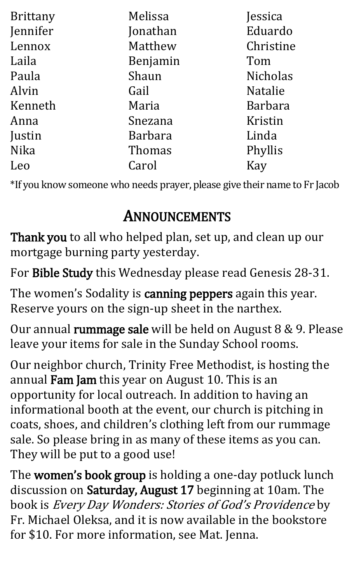| Brittany | Melissa        | Jessica         |
|----------|----------------|-----------------|
| Jennifer | Jonathan       | Eduardo         |
| Lennox   | Matthew        | Christine       |
| Laila    | Benjamin       | Tom             |
| Paula    | Shaun          | <b>Nicholas</b> |
| Alvin    | Gail           | <b>Natalie</b>  |
| Kenneth  | Maria          | <b>Barbara</b>  |
| Anna     | Snezana        | Kristin         |
| Justin   | <b>Barbara</b> | Linda           |
| Nika     | Thomas         | Phyllis         |
| Leo      | Carol          | Kay             |

\*If you know someone who needs prayer, please give their name to Fr Jacob

### ANNOUNCEMENTS

Thank you to all who helped plan, set up, and clean up our mortgage burning party yesterday.

For Bible Study this Wednesday please read Genesis 28-31.

The women's Sodality is canning peppers again this year. Reserve yours on the sign-up sheet in the narthex.

Our annual rummage sale will be held on August 8 & 9. Please leave your items for sale in the Sunday School rooms.

Our neighbor church, Trinity Free Methodist, is hosting the annual Fam Jam this year on August 10. This is an opportunity for local outreach. In addition to having an informational booth at the event, our church is pitching in coats, shoes, and children's clothing left from our rummage sale. So please bring in as many of these items as you can. They will be put to a good use!

The women's book group is holding a one-day potluck lunch discussion on Saturday, August 17 beginning at 10am. The book is Every Day Wonders: Stories of God's Providence by Fr. Michael Oleksa, and it is now available in the bookstore for \$10. For more information, see Mat. Jenna.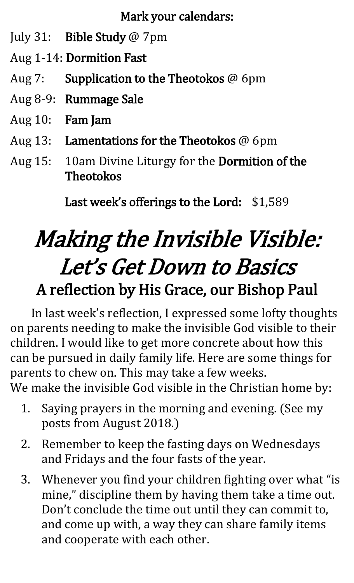Mark your calendars:

- July 31: Bible Study @ 7pm
- Aug 1-14: Dormition Fast
- Aug 7: Supplication to the Theotokos @ 6pm
- Aug 8-9: Rummage Sale
- Aug 10: Fam Jam
- Aug 13: Lamentations for the Theotokos @ 6pm
- Aug 15: 10am Divine Liturgy for the Dormition of the Theotokos

Last week's offerings to the Lord: \$1,589

# Making the Invisible Visible: Let's Get Down to Basics A reflection by His Grace, our Bishop Paul

In last week's reflection, I expressed some lofty thoughts on parents needing to make the invisible God visible to their children. I would like to get more concrete about how this can be pursued in daily family life. Here are some things for parents to chew on. This may take a few weeks. We make the invisible God visible in the Christian home by:

- 1. Saying prayers in the morning and evening. (See my posts from August 2018.)
- 2. Remember to keep the fasting days on Wednesdays and Fridays and the four fasts of the year.
- 3. Whenever you find your children fighting over what "is mine, " discipline them by having them take a time out. Don't conclude the time out until they can commit to, and come up with, a way they can share family items and cooperate with each other.